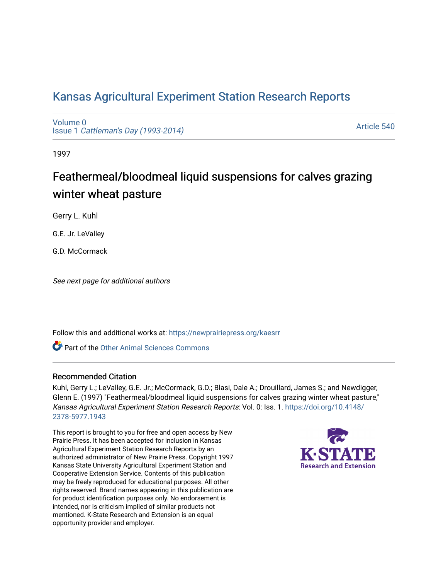# [Kansas Agricultural Experiment Station Research Reports](https://newprairiepress.org/kaesrr)

[Volume 0](https://newprairiepress.org/kaesrr/vol0) Issue 1 [Cattleman's Day \(1993-2014\)](https://newprairiepress.org/kaesrr/vol0/iss1) 

[Article 540](https://newprairiepress.org/kaesrr/vol0/iss1/540) 

1997

# Feathermeal/bloodmeal liquid suspensions for calves grazing winter wheat pasture

Gerry L. Kuhl

G.E. Jr. LeValley

G.D. McCormack

See next page for additional authors

Follow this and additional works at: [https://newprairiepress.org/kaesrr](https://newprairiepress.org/kaesrr?utm_source=newprairiepress.org%2Fkaesrr%2Fvol0%2Fiss1%2F540&utm_medium=PDF&utm_campaign=PDFCoverPages) 

**C** Part of the [Other Animal Sciences Commons](http://network.bepress.com/hgg/discipline/82?utm_source=newprairiepress.org%2Fkaesrr%2Fvol0%2Fiss1%2F540&utm_medium=PDF&utm_campaign=PDFCoverPages)

#### Recommended Citation

Kuhl, Gerry L.; LeValley, G.E. Jr.; McCormack, G.D.; Blasi, Dale A.; Drouillard, James S.; and Newdigger, Glenn E. (1997) "Feathermeal/bloodmeal liquid suspensions for calves grazing winter wheat pasture," Kansas Agricultural Experiment Station Research Reports: Vol. 0: Iss. 1. [https://doi.org/10.4148/](https://doi.org/10.4148/2378-5977.1943) [2378-5977.1943](https://doi.org/10.4148/2378-5977.1943) 

This report is brought to you for free and open access by New Prairie Press. It has been accepted for inclusion in Kansas Agricultural Experiment Station Research Reports by an authorized administrator of New Prairie Press. Copyright 1997 Kansas State University Agricultural Experiment Station and Cooperative Extension Service. Contents of this publication may be freely reproduced for educational purposes. All other rights reserved. Brand names appearing in this publication are for product identification purposes only. No endorsement is intended, nor is criticism implied of similar products not mentioned. K-State Research and Extension is an equal opportunity provider and employer.

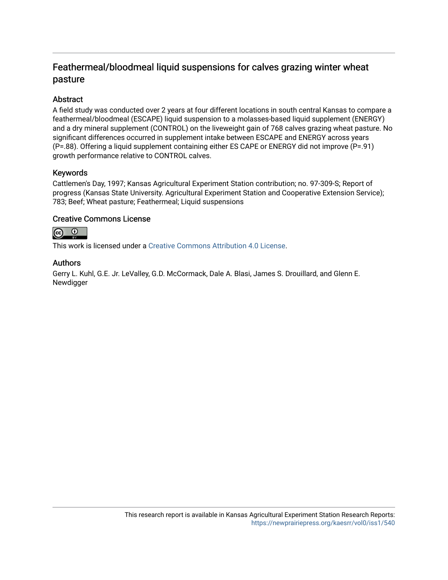## Feathermeal/bloodmeal liquid suspensions for calves grazing winter wheat pasture

## Abstract

A field study was conducted over 2 years at four different locations in south central Kansas to compare a feathermeal/bloodmeal (ESCAPE) liquid suspension to a molasses-based liquid supplement (ENERGY) and a dry mineral supplement (CONTROL) on the liveweight gain of 768 calves grazing wheat pasture. No significant differences occurred in supplement intake between ESCAPE and ENERGY across years (P=.88). Offering a liquid supplement containing either ES CAPE or ENERGY did not improve (P=.91) growth performance relative to CONTROL calves.

## Keywords

Cattlemen's Day, 1997; Kansas Agricultural Experiment Station contribution; no. 97-309-S; Report of progress (Kansas State University. Agricultural Experiment Station and Cooperative Extension Service); 783; Beef; Wheat pasture; Feathermeal; Liquid suspensions

## Creative Commons License



This work is licensed under a [Creative Commons Attribution 4.0 License](https://creativecommons.org/licenses/by/4.0/).

## Authors

Gerry L. Kuhl, G.E. Jr. LeValley, G.D. McCormack, Dale A. Blasi, James S. Drouillard, and Glenn E. **Newdigger**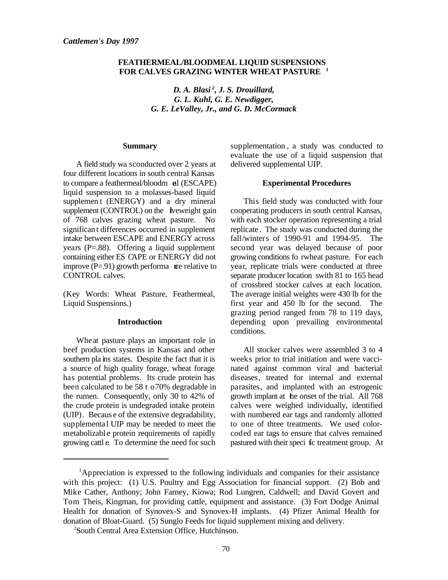#### **FEATHERMEAL/BLOODMEAL LIQUID SUSPENSIONS FOR CALVES GRAZING WINTER WHEAT PASTURE <sup>1</sup>**

*D. A. Blasi<sup>2</sup>, J. S. Drouillard, G. L. Kuhl, G. E. Newdigger, G. E. LeValley, Jr., and G. D. McCormack*

#### **Summary**

A field study wa sconducted over 2 years at four different locations in south central Kansas to compare a feathermeal/bloodm eal (ESCAPE) liquid suspension to a molasses-based liquid supplemen t (ENERGY) and a dry mineral supplement (CONTROL) on the liveweight gain of 768 calves grazing wheat pasture. No significan t differences occurred in supplement intake between ESCAPE and ENERGY across years (P=.88). Offering a liquid supplement containing either ES CAPE or ENERGY did not improve  $(P=.91)$  growth performa we relative to CONTROL calves.

(Key Words: Wheat Pasture, Feathermeal, Liquid Suspensions.)

#### **Introduction**

Wheat pasture plays an important role in beef production systems in Kansas and other southern pla ins states. Despite the fact that it is a source of high quality forage, wheat forage has potential problems. Its crude protein has been calculated to be 58 t o 70% degradable in the rumen. Consequently, only 30 to 42% of the crude protein is undegraded intake protein (UIP). Becaus e of the extensive degradability, supplemental UIP may be needed to meet the metabolizabl e protein requirements of rapidly growing cattl e. To determine the need for such

supplementation , a study was conducted to evaluate the use of a liquid suspension that delivered supplemental UIP.

#### **Experimental Procedures**

This field study was conducted with four cooperating producers in south central Kansas, with each stocker operation representing a trial replicate . The study was conducted during the fall/winters of 1990-91 and 1994-95. The second year was delayed because of poor growing conditions fo rwheat pasture. For each year, replicate trials were conducted at three separate producer location swith 81 to 165 head of crossbred stocker calves at each location. The average initial weights were 430 lb for the first year and 450 lb for the second. The grazing period ranged from 78 to 119 days, depending upon prevailing environmental conditions.

All stocker calves were assembled 3 to 4 weeks prior to trial initiation and were vaccinated against common viral and bacterial diseases, treated for internal and external parasites, and implanted with an estrogenic growth implant at the onset of the trial. All 768 calves were weighed individually, identified with numbered ear tags and randomly allotted to one of three treatments. We used colorcoded ear tags to ensure that calves remained pastured with their speci fc treatment group. At

 ${}^{1}$ Appreciation is expressed to the following individuals and companies for their assistance with this project: (1) U.S. Poultry and Egg Association for financial support. (2) Bob and Mike Cather, Anthony; John Farney, Kiowa; Rod Lungren, Caldwell; and David Govert and Tom Theis, Kingman, for providing cattle, equipment and assistance. (3) Fort Dodge Animal Health for donation of Synovex-S and Synovex-H implants. (4) Pfizer Animal Health for donation of Bloat-Guard. (5) Sunglo Feeds for liquid supplement mixing and delivery.

<sup>&</sup>lt;sup>2</sup>South Central Area Extension Office, Hutchinson.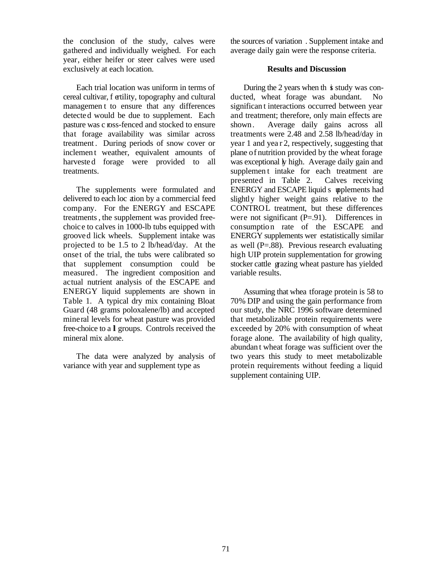the conclusion of the study, calves were gathered and individually weighed. For each year, either heifer or steer calves were used exclusively at each location.

Each trial location was uniform in terms of cereal cultivar, f ertility, topography and cultural managemen t to ensure that any differences detected would be due to supplement. Each pasture was c ross-fenced and stocked to ensure that forage availability was similar across treatment . During periods of snow cover or inclement weather, equivalent amounts of harvested forage were provided to all treatments.

The supplements were formulated and delivered to each loc ation by a commercial feed company. For the ENERGY and ESCAPE treatments , the supplement was provided freechoice to calves in 1000-lb tubs equipped with grooved lick wheels. Supplement intake was projected to be 1.5 to 2 lb/head/day. At the onset of the trial, the tubs were calibrated so that supplement consumption could be measured. The ingredient composition and actual nutrient analysis of the ESCAPE and ENERGY liquid supplements are shown in Table 1. A typical dry mix containing Bloat Guard (48 grams poloxalene/lb) and accepted mineral levels for wheat pasture was provided free-choice to a ll groups. Controls received the mineral mix alone.

The data were analyzed by analysis of variance with year and supplement type as

the sources of variation . Supplement intake and average daily gain were the response criteria.

#### **Results and Discussion**

During the 2 years when th  $\dot{\mathbf{s}}$  study was conducted, wheat forage was abundant. No significan t interactions occurred between year and treatment; therefore, only main effects are shown. Average daily gains across all treatments were 2.48 and 2.58 lb/head/day in year 1 and yea r 2, respectively, suggesting that plane of nutrition provided by the wheat forage was exceptional *ly* high. Average daily gain and supplement intake for each treatment are presented in Table 2. Calves receiving ENERGY and ESCAPE liquid s upplements had slightly higher weight gains relative to the CONTROL treatment, but these differences were not significant (P=.91). Differences in consumption rate of the ESCAPE and ENERGY supplements wer estatistically similar as well  $(P=.88)$ . Previous research evaluating high UIP protein supplementation for growing stocker cattle grazing wheat pasture has yielded variable results.

Assuming that whea t for age protein is 58 to 70% DIP and using the gain performance from our study, the NRC 1996 software determined that metabolizable protein requirements were exceeded by 20% with consumption of wheat forage alone. The availability of high quality, abundan t wheat forage was sufficient over the two years this study to meet metabolizable protein requirements without feeding a liquid supplement containing UIP.